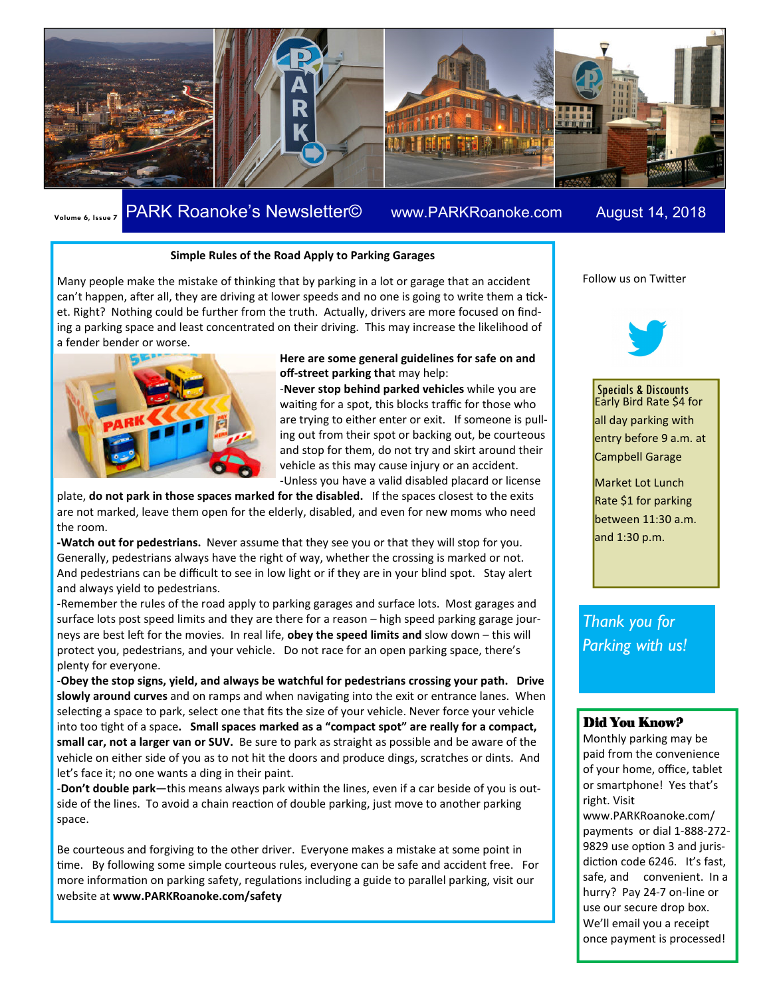

# **Volume 6, Issue 7 PARK Roanoke's Newsletter©** www.PARKRoanoke.com August 14, 2018

#### **Simple Rules of the Road Apply to Parking Garages**

Many people make the mistake of thinking that by parking in a lot or garage that an accident can't happen, after all, they are driving at lower speeds and no one is going to write them a ticket. Right? Nothing could be further from the truth. Actually, drivers are more focused on finding a parking space and least concentrated on their driving. This may increase the likelihood of a fender bender or worse.



#### **Here are some general guidelines for safe on and off-street parking tha**t may help:

-**Never stop behind parked vehicles** while you are waiting for a spot, this blocks traffic for those who are trying to either enter or exit. If someone is pulling out from their spot or backing out, be courteous and stop for them, do not try and skirt around their vehicle as this may cause injury or an accident. -Unless you have a valid disabled placard or license

plate, **do not park in those spaces marked for the disabled.** If the spaces closest to the exits are not marked, leave them open for the elderly, disabled, and even for new moms who need the room.

**-Watch out for pedestrians.** Never assume that they see you or that they will stop for you. Generally, pedestrians always have the right of way, whether the crossing is marked or not. And pedestrians can be difficult to see in low light or if they are in your blind spot. Stay alert and always yield to pedestrians.

-Remember the rules of the road apply to parking garages and surface lots. Most garages and surface lots post speed limits and they are there for a reason – high speed parking garage journeys are best left for the movies. In real life, **obey the speed limits and** slow down – this will protect you, pedestrians, and your vehicle. Do not race for an open parking space, there's plenty for everyone.

-**Obey the stop signs, yield, and always be watchful for pedestrians crossing your path. Drive**  slowly around curves and on ramps and when navigating into the exit or entrance lanes. When selecting a space to park, select one that fits the size of your vehicle. Never force your vehicle into too tight of a space. Small spaces marked as a "compact spot" are really for a compact, **small car, not a larger van or SUV.** Be sure to park as straight as possible and be aware of the vehicle on either side of you as to not hit the doors and produce dings, scratches or dints. And let's face it; no one wants a ding in their paint.

-**Don't double park**—this means always park within the lines, even if a car beside of you is outside of the lines. To avoid a chain reaction of double parking, just move to another parking space.

Be courteous and forgiving to the other driver. Everyone makes a mistake at some point in time. By following some simple courteous rules, everyone can be safe and accident free. For more information on parking safety, regulations including a guide to parallel parking, visit our website at **www.PARKRoanoke.com/safety** 

Follow us on Twitter



Specials & Discounts Early Bird Rate \$4 for all day parking with entry before 9 a.m. at Campbell Garage

Market Lot Lunch Rate \$1 for parking between 11:30 a.m. and 1:30 p.m.

*Thank you for Parking with us!* 

#### Did You Know?

Monthly parking may be paid from the convenience of your home, office, tablet or smartphone! Yes that's right. Visit www.PARKRoanoke.com/ payments or dial 1-888-272- 9829 use option 3 and jurisdiction code 6246. It's fast, safe, and convenient. In a hurry? Pay 24-7 on-line or use our secure drop box. We'll email you a receipt once payment is processed!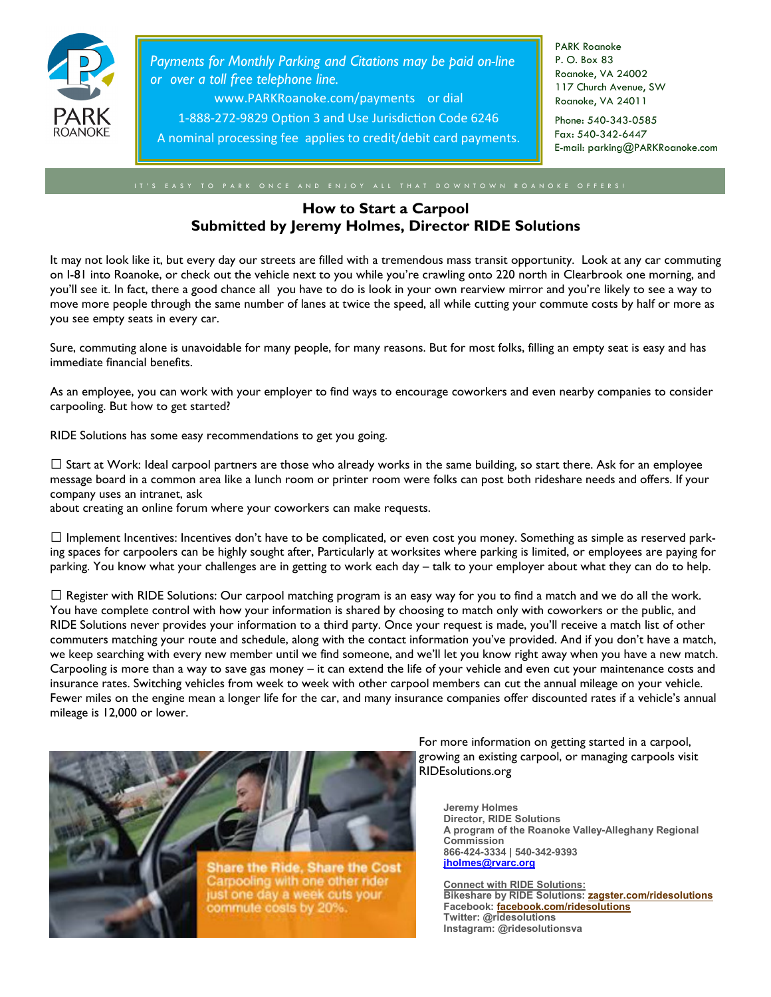

*Payments for Monthly Parking and Citations may be paid on-line or over a toll free telephone line.* 

www.PARKRoanoke.com/payments or dial

1-888-272-9829 Option 3 and Use Jurisdiction Code 6246

A nominal processing fee applies to credit/debit card payments.

PARK Roanoke P. O. Box 83 Roanoke, VA 24002 117 Church Avenue, SW Roanoke, VA 24011

Phone: 540-343-0585 Fax: 540-342-6447 E-mail: parking@PARKRoanoke.com

## **How to Start a Carpool Submitted by Jeremy Holmes, Director RIDE Solutions**

It may not look like it, but every day our streets are filled with a tremendous mass transit opportunity. Look at any car commuting on I-81 into Roanoke, or check out the vehicle next to you while you're crawling onto 220 north in Clearbrook one morning, and you'll see it. In fact, there a good chance all you have to do is look in your own rearview mirror and you're likely to see a way to move more people through the same number of lanes at twice the speed, all while cutting your commute costs by half or more as you see empty seats in every car.

Sure, commuting alone is unavoidable for many people, for many reasons. But for most folks, filling an empty seat is easy and has immediate financial benefits.

As an employee, you can work with your employer to find ways to encourage coworkers and even nearby companies to consider carpooling. But how to get started?

RIDE Solutions has some easy recommendations to get you going.

 $\Box$  Start at Work: Ideal carpool partners are those who already works in the same building, so start there. Ask for an employee message board in a common area like a lunch room or printer room were folks can post both rideshare needs and offers. If your company uses an intranet, ask

about creating an online forum where your coworkers can make requests.

 $\Box$  Implement Incentives: Incentives don't have to be complicated, or even cost you money. Something as simple as reserved parking spaces for carpoolers can be highly sought after, Particularly at worksites where parking is limited, or employees are paying for parking. You know what your challenges are in getting to work each day – talk to your employer about what they can do to help.

 $\Box$  Register with RIDE Solutions: Our carpool matching program is an easy way for you to find a match and we do all the work. You have complete control with how your information is shared by choosing to match only with coworkers or the public, and RIDE Solutions never provides your information to a third party. Once your request is made, you'll receive a match list of other commuters matching your route and schedule, along with the contact information you've provided. And if you don't have a match, we keep searching with every new member until we find someone, and we'll let you know right away when you have a new match. Carpooling is more than a way to save gas money – it can extend the life of your vehicle and even cut your maintenance costs and insurance rates. Switching vehicles from week to week with other carpool members can cut the annual mileage on your vehicle. Fewer miles on the engine mean a longer life for the car, and many insurance companies offer discounted rates if a vehicle's annual mileage is 12,000 or lower.



For more information on getting started in a carpool, growing an existing carpool, or managing carpools visit RIDEsolutions.org

**Jeremy Holmes Director, RIDE Solutions A program of the Roanoke Valley-Alleghany Regional Commission 866-424-3334 | 540-342-9393 jholmes@rvarc.org**

**Connect with RIDE Solutions: Bikeshare by RIDE Solutions: zagster.com/ridesolutions Facebook: facebook.com/ridesolutions Twitter: @ridesolutions Instagram: @ridesolutionsva**